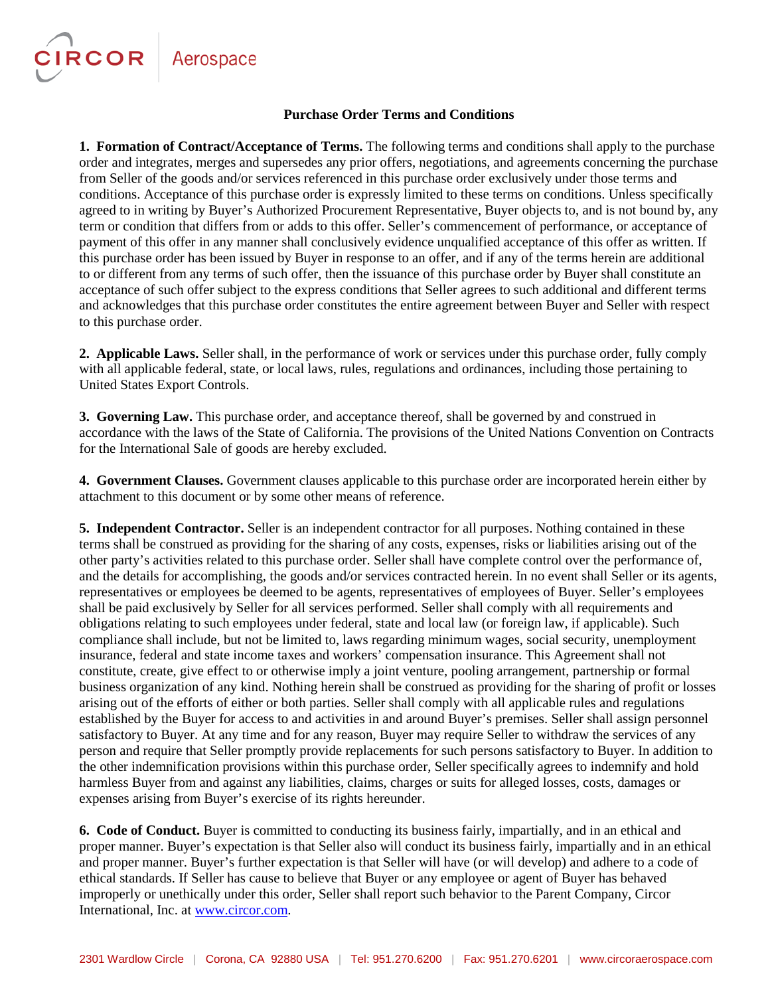## CIRCOR Aerospace

#### **Purchase Order Terms and Conditions**

**1. Formation of Contract/Acceptance of Terms.** The following terms and conditions shall apply to the purchase order and integrates, merges and supersedes any prior offers, negotiations, and agreements concerning the purchase from Seller of the goods and/or services referenced in this purchase order exclusively under those terms and conditions. Acceptance of this purchase order is expressly limited to these terms on conditions. Unless specifically agreed to in writing by Buyer's Authorized Procurement Representative, Buyer objects to, and is not bound by, any term or condition that differs from or adds to this offer. Seller's commencement of performance, or acceptance of payment of this offer in any manner shall conclusively evidence unqualified acceptance of this offer as written. If this purchase order has been issued by Buyer in response to an offer, and if any of the terms herein are additional to or different from any terms of such offer, then the issuance of this purchase order by Buyer shall constitute an acceptance of such offer subject to the express conditions that Seller agrees to such additional and different terms and acknowledges that this purchase order constitutes the entire agreement between Buyer and Seller with respect to this purchase order.

**2. Applicable Laws.** Seller shall, in the performance of work or services under this purchase order, fully comply with all applicable federal, state, or local laws, rules, regulations and ordinances, including those pertaining to United States Export Controls.

**3. Governing Law.** This purchase order, and acceptance thereof, shall be governed by and construed in accordance with the laws of the State of California. The provisions of the United Nations Convention on Contracts for the International Sale of goods are hereby excluded.

**4. Government Clauses.** Government clauses applicable to this purchase order are incorporated herein either by attachment to this document or by some other means of reference.

**5. Independent Contractor.** Seller is an independent contractor for all purposes. Nothing contained in these terms shall be construed as providing for the sharing of any costs, expenses, risks or liabilities arising out of the other party's activities related to this purchase order. Seller shall have complete control over the performance of, and the details for accomplishing, the goods and/or services contracted herein. In no event shall Seller or its agents, representatives or employees be deemed to be agents, representatives of employees of Buyer. Seller's employees shall be paid exclusively by Seller for all services performed. Seller shall comply with all requirements and obligations relating to such employees under federal, state and local law (or foreign law, if applicable). Such compliance shall include, but not be limited to, laws regarding minimum wages, social security, unemployment insurance, federal and state income taxes and workers' compensation insurance. This Agreement shall not constitute, create, give effect to or otherwise imply a joint venture, pooling arrangement, partnership or formal business organization of any kind. Nothing herein shall be construed as providing for the sharing of profit or losses arising out of the efforts of either or both parties. Seller shall comply with all applicable rules and regulations established by the Buyer for access to and activities in and around Buyer's premises. Seller shall assign personnel satisfactory to Buyer. At any time and for any reason, Buyer may require Seller to withdraw the services of any person and require that Seller promptly provide replacements for such persons satisfactory to Buyer. In addition to the other indemnification provisions within this purchase order, Seller specifically agrees to indemnify and hold harmless Buyer from and against any liabilities, claims, charges or suits for alleged losses, costs, damages or expenses arising from Buyer's exercise of its rights hereunder.

**6. Code of Conduct.** Buyer is committed to conducting its business fairly, impartially, and in an ethical and proper manner. Buyer's expectation is that Seller also will conduct its business fairly, impartially and in an ethical and proper manner. Buyer's further expectation is that Seller will have (or will develop) and adhere to a code of ethical standards. If Seller has cause to believe that Buyer or any employee or agent of Buyer has behaved improperly or unethically under this order, Seller shall report such behavior to the Parent Company, Circor International, Inc. at [www.circor.com.](http://www.circor.com/)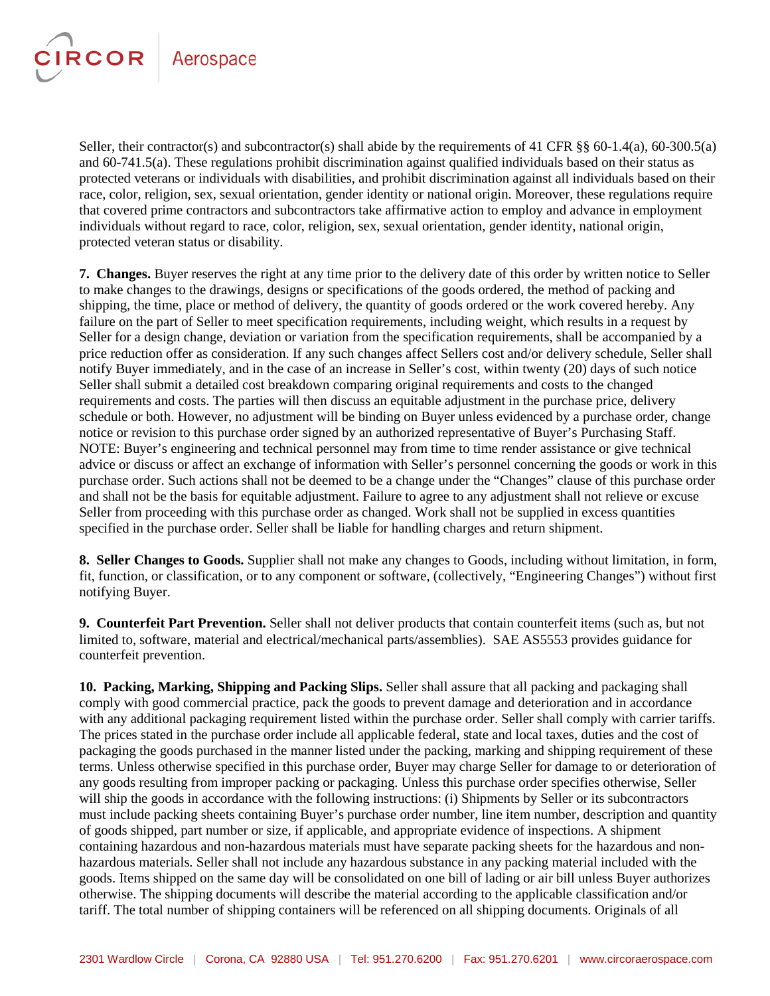# CIRCOR Aerospace

Seller, their contractor(s) and subcontractor(s) shall abide by the requirements of 41 CFR §§ 60-1.4(a), 60-300.5(a) and 60-741.5(a). These regulations prohibit discrimination against qualified individuals based on their status as protected veterans or individuals with disabilities, and prohibit discrimination against all individuals based on their race, color, religion, sex, sexual orientation, gender identity or national origin. Moreover, these regulations require that covered prime contractors and subcontractors take affirmative action to employ and advance in employment individuals without regard to race, color, religion, sex, sexual orientation, gender identity, national origin, protected veteran status or disability.

**7. Changes.** Buyer reserves the right at any time prior to the delivery date of this order by written notice to Seller to make changes to the drawings, designs or specifications of the goods ordered, the method of packing and shipping, the time, place or method of delivery, the quantity of goods ordered or the work covered hereby. Any failure on the part of Seller to meet specification requirements, including weight, which results in a request by Seller for a design change, deviation or variation from the specification requirements, shall be accompanied by a price reduction offer as consideration. If any such changes affect Sellers cost and/or delivery schedule, Seller shall notify Buyer immediately, and in the case of an increase in Seller's cost, within twenty (20) days of such notice Seller shall submit a detailed cost breakdown comparing original requirements and costs to the changed requirements and costs. The parties will then discuss an equitable adjustment in the purchase price, delivery schedule or both. However, no adjustment will be binding on Buyer unless evidenced by a purchase order, change notice or revision to this purchase order signed by an authorized representative of Buyer's Purchasing Staff. NOTE: Buyer's engineering and technical personnel may from time to time render assistance or give technical advice or discuss or affect an exchange of information with Seller's personnel concerning the goods or work in this purchase order. Such actions shall not be deemed to be a change under the "Changes" clause of this purchase order and shall not be the basis for equitable adjustment. Failure to agree to any adjustment shall not relieve or excuse Seller from proceeding with this purchase order as changed. Work shall not be supplied in excess quantities specified in the purchase order. Seller shall be liable for handling charges and return shipment.

**8. Seller Changes to Goods.** Supplier shall not make any changes to Goods, including without limitation, in form, fit, function, or classification, or to any component or software, (collectively, "Engineering Changes") without first notifying Buyer.

**9. Counterfeit Part Prevention.** Seller shall not deliver products that contain counterfeit items (such as, but not limited to, software, material and electrical/mechanical parts/assemblies). SAE AS5553 provides guidance for counterfeit prevention.

**10. Packing, Marking, Shipping and Packing Slips.** Seller shall assure that all packing and packaging shall comply with good commercial practice, pack the goods to prevent damage and deterioration and in accordance with any additional packaging requirement listed within the purchase order. Seller shall comply with carrier tariffs. The prices stated in the purchase order include all applicable federal, state and local taxes, duties and the cost of packaging the goods purchased in the manner listed under the packing, marking and shipping requirement of these terms. Unless otherwise specified in this purchase order, Buyer may charge Seller for damage to or deterioration of any goods resulting from improper packing or packaging. Unless this purchase order specifies otherwise, Seller will ship the goods in accordance with the following instructions: (i) Shipments by Seller or its subcontractors must include packing sheets containing Buyer's purchase order number, line item number, description and quantity of goods shipped, part number or size, if applicable, and appropriate evidence of inspections. A shipment containing hazardous and non-hazardous materials must have separate packing sheets for the hazardous and nonhazardous materials. Seller shall not include any hazardous substance in any packing material included with the goods. Items shipped on the same day will be consolidated on one bill of lading or air bill unless Buyer authorizes otherwise. The shipping documents will describe the material according to the applicable classification and/or tariff. The total number of shipping containers will be referenced on all shipping documents. Originals of all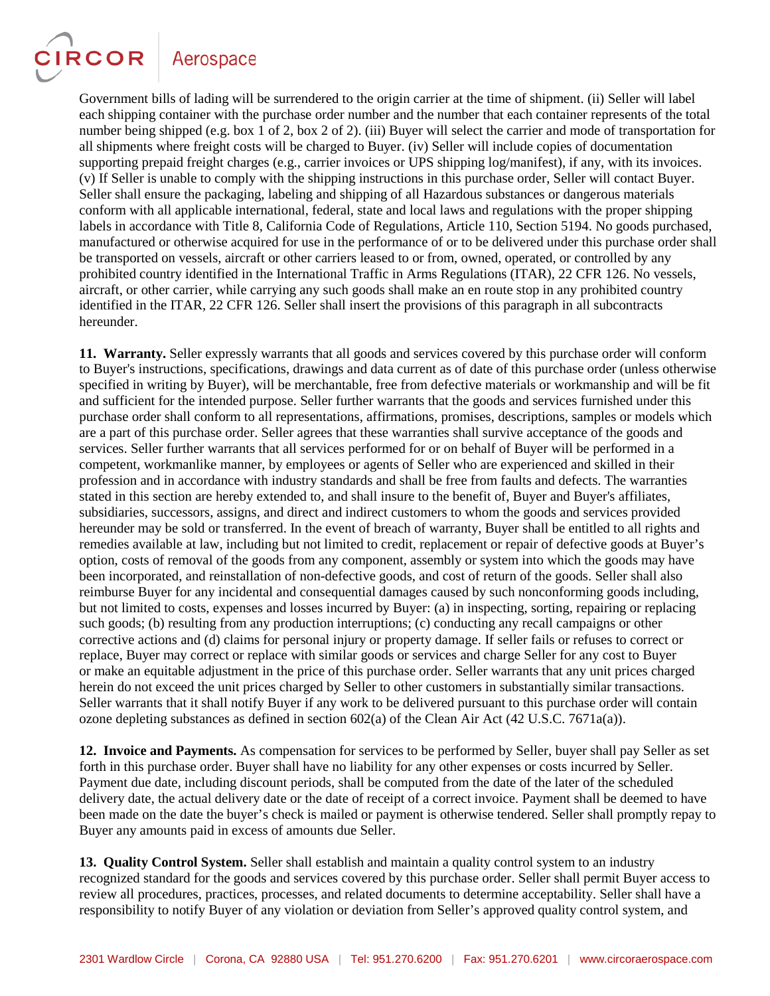**CIRCOR** 

Government bills of lading will be surrendered to the origin carrier at the time of shipment. (ii) Seller will label each shipping container with the purchase order number and the number that each container represents of the total number being shipped (e.g. box 1 of 2, box 2 of 2). (iii) Buyer will select the carrier and mode of transportation for all shipments where freight costs will be charged to Buyer. (iv) Seller will include copies of documentation supporting prepaid freight charges (e.g., carrier invoices or UPS shipping log/manifest), if any, with its invoices. (v) If Seller is unable to comply with the shipping instructions in this purchase order, Seller will contact Buyer. Seller shall ensure the packaging, labeling and shipping of all Hazardous substances or dangerous materials conform with all applicable international, federal, state and local laws and regulations with the proper shipping labels in accordance with Title 8, California Code of Regulations, Article 110, Section 5194. No goods purchased, manufactured or otherwise acquired for use in the performance of or to be delivered under this purchase order shall be transported on vessels, aircraft or other carriers leased to or from, owned, operated, or controlled by any prohibited country identified in the International Traffic in Arms Regulations (ITAR), 22 CFR 126. No vessels, aircraft, or other carrier, while carrying any such goods shall make an en route stop in any prohibited country identified in the ITAR, 22 CFR 126. Seller shall insert the provisions of this paragraph in all subcontracts hereunder.

**11. Warranty.** Seller expressly warrants that all goods and services covered by this purchase order will conform to Buyer's instructions, specifications, drawings and data current as of date of this purchase order (unless otherwise specified in writing by Buyer), will be merchantable, free from defective materials or workmanship and will be fit and sufficient for the intended purpose. Seller further warrants that the goods and services furnished under this purchase order shall conform to all representations, affirmations, promises, descriptions, samples or models which are a part of this purchase order. Seller agrees that these warranties shall survive acceptance of the goods and services. Seller further warrants that all services performed for or on behalf of Buyer will be performed in a competent, workmanlike manner, by employees or agents of Seller who are experienced and skilled in their profession and in accordance with industry standards and shall be free from faults and defects. The warranties stated in this section are hereby extended to, and shall insure to the benefit of, Buyer and Buyer's affiliates, subsidiaries, successors, assigns, and direct and indirect customers to whom the goods and services provided hereunder may be sold or transferred. In the event of breach of warranty, Buyer shall be entitled to all rights and remedies available at law, including but not limited to credit, replacement or repair of defective goods at Buyer's option, costs of removal of the goods from any component, assembly or system into which the goods may have been incorporated, and reinstallation of non-defective goods, and cost of return of the goods. Seller shall also reimburse Buyer for any incidental and consequential damages caused by such nonconforming goods including, but not limited to costs, expenses and losses incurred by Buyer: (a) in inspecting, sorting, repairing or replacing such goods; (b) resulting from any production interruptions; (c) conducting any recall campaigns or other corrective actions and (d) claims for personal injury or property damage. If seller fails or refuses to correct or replace, Buyer may correct or replace with similar goods or services and charge Seller for any cost to Buyer or make an equitable adjustment in the price of this purchase order. Seller warrants that any unit prices charged herein do not exceed the unit prices charged by Seller to other customers in substantially similar transactions. Seller warrants that it shall notify Buyer if any work to be delivered pursuant to this purchase order will contain ozone depleting substances as defined in section 602(a) of the Clean Air Act (42 U.S.C. 7671a(a)).

**12. Invoice and Payments.** As compensation for services to be performed by Seller, buyer shall pay Seller as set forth in this purchase order. Buyer shall have no liability for any other expenses or costs incurred by Seller. Payment due date, including discount periods, shall be computed from the date of the later of the scheduled delivery date, the actual delivery date or the date of receipt of a correct invoice. Payment shall be deemed to have been made on the date the buyer's check is mailed or payment is otherwise tendered. Seller shall promptly repay to Buyer any amounts paid in excess of amounts due Seller.

**13. Quality Control System.** Seller shall establish and maintain a quality control system to an industry recognized standard for the goods and services covered by this purchase order. Seller shall permit Buyer access to review all procedures, practices, processes, and related documents to determine acceptability. Seller shall have a responsibility to notify Buyer of any violation or deviation from Seller's approved quality control system, and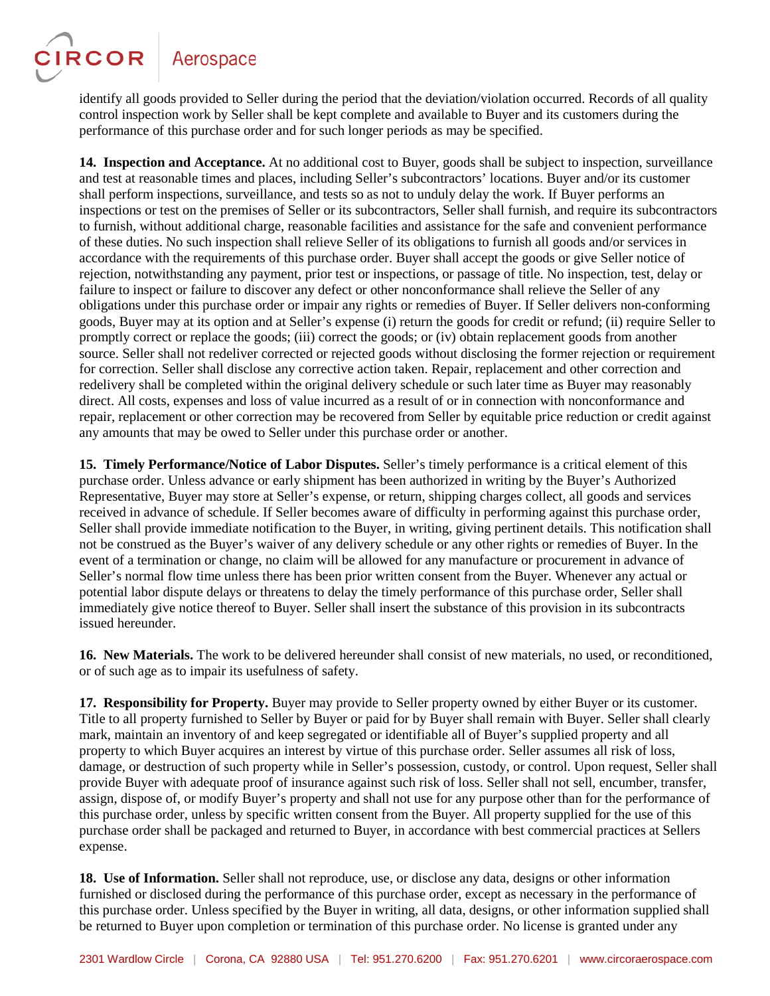**CIRCOR** 

identify all goods provided to Seller during the period that the deviation/violation occurred. Records of all quality control inspection work by Seller shall be kept complete and available to Buyer and its customers during the performance of this purchase order and for such longer periods as may be specified.

**14. Inspection and Acceptance.** At no additional cost to Buyer, goods shall be subject to inspection, surveillance and test at reasonable times and places, including Seller's subcontractors' locations. Buyer and/or its customer shall perform inspections, surveillance, and tests so as not to unduly delay the work. If Buyer performs an inspections or test on the premises of Seller or its subcontractors, Seller shall furnish, and require its subcontractors to furnish, without additional charge, reasonable facilities and assistance for the safe and convenient performance of these duties. No such inspection shall relieve Seller of its obligations to furnish all goods and/or services in accordance with the requirements of this purchase order. Buyer shall accept the goods or give Seller notice of rejection, notwithstanding any payment, prior test or inspections, or passage of title. No inspection, test, delay or failure to inspect or failure to discover any defect or other nonconformance shall relieve the Seller of any obligations under this purchase order or impair any rights or remedies of Buyer. If Seller delivers non-conforming goods, Buyer may at its option and at Seller's expense (i) return the goods for credit or refund; (ii) require Seller to promptly correct or replace the goods; (iii) correct the goods; or (iv) obtain replacement goods from another source. Seller shall not redeliver corrected or rejected goods without disclosing the former rejection or requirement for correction. Seller shall disclose any corrective action taken. Repair, replacement and other correction and redelivery shall be completed within the original delivery schedule or such later time as Buyer may reasonably direct. All costs, expenses and loss of value incurred as a result of or in connection with nonconformance and repair, replacement or other correction may be recovered from Seller by equitable price reduction or credit against any amounts that may be owed to Seller under this purchase order or another.

**15. Timely Performance/Notice of Labor Disputes.** Seller's timely performance is a critical element of this purchase order. Unless advance or early shipment has been authorized in writing by the Buyer's Authorized Representative, Buyer may store at Seller's expense, or return, shipping charges collect, all goods and services received in advance of schedule. If Seller becomes aware of difficulty in performing against this purchase order, Seller shall provide immediate notification to the Buyer, in writing, giving pertinent details. This notification shall not be construed as the Buyer's waiver of any delivery schedule or any other rights or remedies of Buyer. In the event of a termination or change, no claim will be allowed for any manufacture or procurement in advance of Seller's normal flow time unless there has been prior written consent from the Buyer. Whenever any actual or potential labor dispute delays or threatens to delay the timely performance of this purchase order, Seller shall immediately give notice thereof to Buyer. Seller shall insert the substance of this provision in its subcontracts issued hereunder.

**16. New Materials.** The work to be delivered hereunder shall consist of new materials, no used, or reconditioned, or of such age as to impair its usefulness of safety.

**17. Responsibility for Property.** Buyer may provide to Seller property owned by either Buyer or its customer. Title to all property furnished to Seller by Buyer or paid for by Buyer shall remain with Buyer. Seller shall clearly mark, maintain an inventory of and keep segregated or identifiable all of Buyer's supplied property and all property to which Buyer acquires an interest by virtue of this purchase order. Seller assumes all risk of loss, damage, or destruction of such property while in Seller's possession, custody, or control. Upon request, Seller shall provide Buyer with adequate proof of insurance against such risk of loss. Seller shall not sell, encumber, transfer, assign, dispose of, or modify Buyer's property and shall not use for any purpose other than for the performance of this purchase order, unless by specific written consent from the Buyer. All property supplied for the use of this purchase order shall be packaged and returned to Buyer, in accordance with best commercial practices at Sellers expense.

**18. Use of Information.** Seller shall not reproduce, use, or disclose any data, designs or other information furnished or disclosed during the performance of this purchase order, except as necessary in the performance of this purchase order. Unless specified by the Buyer in writing, all data, designs, or other information supplied shall be returned to Buyer upon completion or termination of this purchase order. No license is granted under any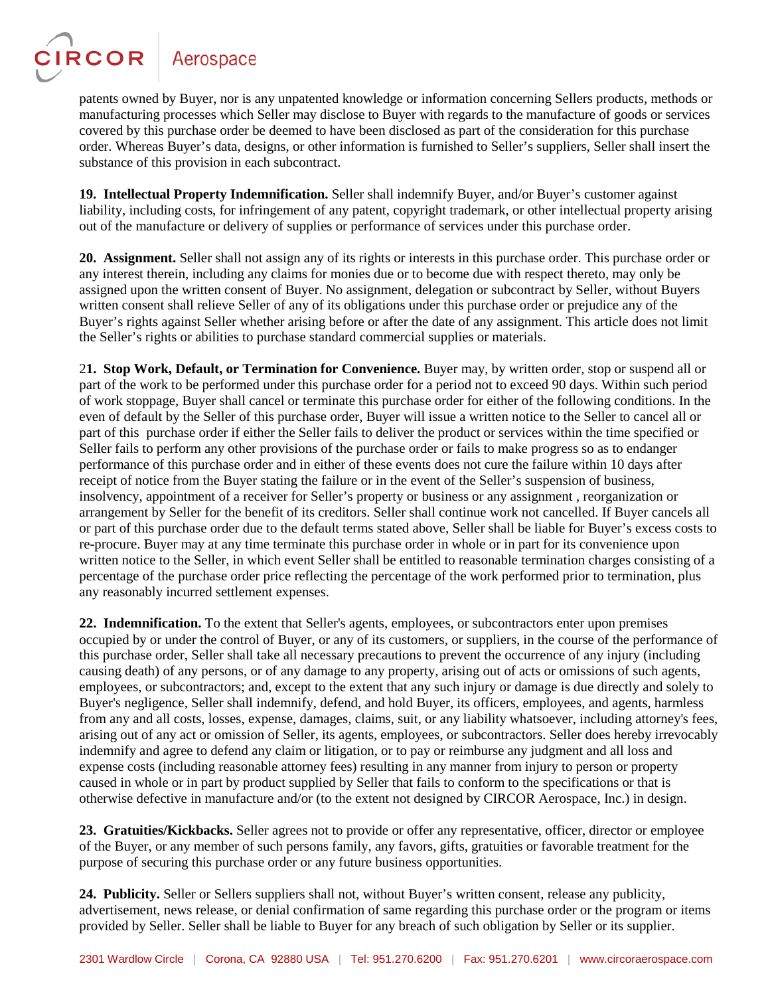

patents owned by Buyer, nor is any unpatented knowledge or information concerning Sellers products, methods or manufacturing processes which Seller may disclose to Buyer with regards to the manufacture of goods or services covered by this purchase order be deemed to have been disclosed as part of the consideration for this purchase order. Whereas Buyer's data, designs, or other information is furnished to Seller's suppliers, Seller shall insert the substance of this provision in each subcontract.

**19. Intellectual Property Indemnification.** Seller shall indemnify Buyer, and/or Buyer's customer against liability, including costs, for infringement of any patent, copyright trademark, or other intellectual property arising out of the manufacture or delivery of supplies or performance of services under this purchase order.

**20. Assignment.** Seller shall not assign any of its rights or interests in this purchase order. This purchase order or any interest therein, including any claims for monies due or to become due with respect thereto, may only be assigned upon the written consent of Buyer. No assignment, delegation or subcontract by Seller, without Buyers written consent shall relieve Seller of any of its obligations under this purchase order or prejudice any of the Buyer's rights against Seller whether arising before or after the date of any assignment. This article does not limit the Seller's rights or abilities to purchase standard commercial supplies or materials.

2**1. Stop Work, Default, or Termination for Convenience.** Buyer may, by written order, stop or suspend all or part of the work to be performed under this purchase order for a period not to exceed 90 days. Within such period of work stoppage, Buyer shall cancel or terminate this purchase order for either of the following conditions. In the even of default by the Seller of this purchase order, Buyer will issue a written notice to the Seller to cancel all or part of this purchase order if either the Seller fails to deliver the product or services within the time specified or Seller fails to perform any other provisions of the purchase order or fails to make progress so as to endanger performance of this purchase order and in either of these events does not cure the failure within 10 days after receipt of notice from the Buyer stating the failure or in the event of the Seller's suspension of business, insolvency, appointment of a receiver for Seller's property or business or any assignment , reorganization or arrangement by Seller for the benefit of its creditors. Seller shall continue work not cancelled. If Buyer cancels all or part of this purchase order due to the default terms stated above, Seller shall be liable for Buyer's excess costs to re-procure. Buyer may at any time terminate this purchase order in whole or in part for its convenience upon written notice to the Seller, in which event Seller shall be entitled to reasonable termination charges consisting of a percentage of the purchase order price reflecting the percentage of the work performed prior to termination, plus any reasonably incurred settlement expenses.

**22. Indemnification.** To the extent that Seller's agents, employees, or subcontractors enter upon premises occupied by or under the control of Buyer, or any of its customers, or suppliers, in the course of the performance of this purchase order, Seller shall take all necessary precautions to prevent the occurrence of any injury (including causing death) of any persons, or of any damage to any property, arising out of acts or omissions of such agents, employees, or subcontractors; and, except to the extent that any such injury or damage is due directly and solely to Buyer's negligence, Seller shall indemnify, defend, and hold Buyer, its officers, employees, and agents, harmless from any and all costs, losses, expense, damages, claims, suit, or any liability whatsoever, including attorney's fees, arising out of any act or omission of Seller, its agents, employees, or subcontractors. Seller does hereby irrevocably indemnify and agree to defend any claim or litigation, or to pay or reimburse any judgment and all loss and expense costs (including reasonable attorney fees) resulting in any manner from injury to person or property caused in whole or in part by product supplied by Seller that fails to conform to the specifications or that is otherwise defective in manufacture and/or (to the extent not designed by CIRCOR Aerospace, Inc.) in design.

**23. Gratuities/Kickbacks.** Seller agrees not to provide or offer any representative, officer, director or employee of the Buyer, or any member of such persons family, any favors, gifts, gratuities or favorable treatment for the purpose of securing this purchase order or any future business opportunities.

**24. Publicity.** Seller or Sellers suppliers shall not, without Buyer's written consent, release any publicity, advertisement, news release, or denial confirmation of same regarding this purchase order or the program or items provided by Seller. Seller shall be liable to Buyer for any breach of such obligation by Seller or its supplier.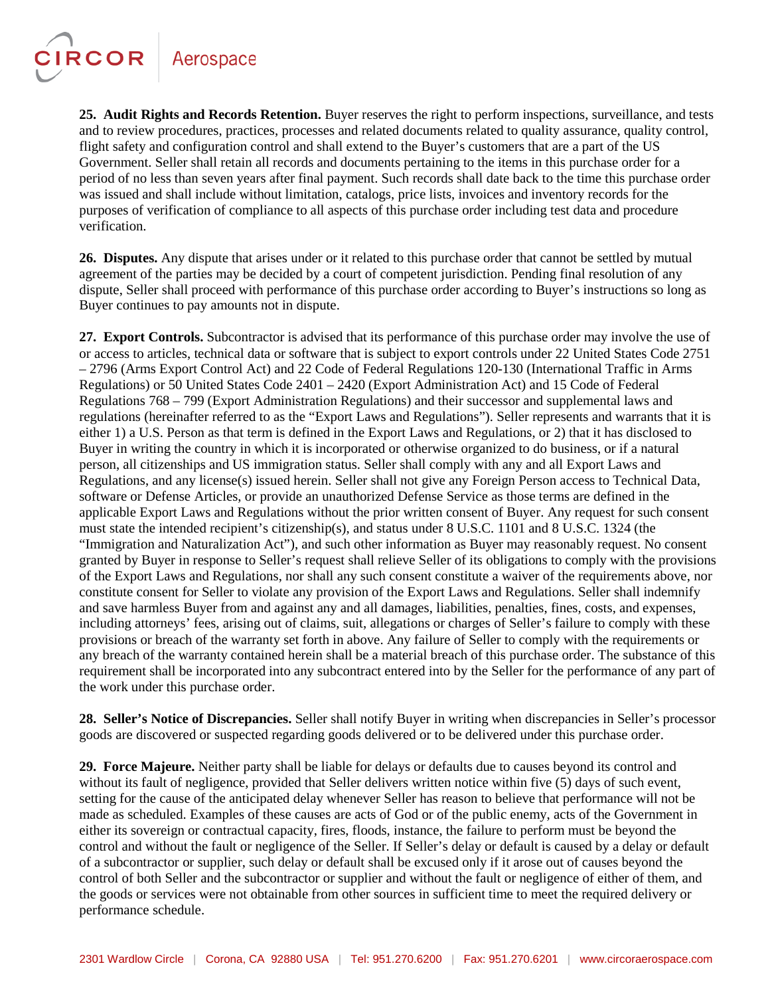CIRCOR

**25. Audit Rights and Records Retention.** Buyer reserves the right to perform inspections, surveillance, and tests and to review procedures, practices, processes and related documents related to quality assurance, quality control, flight safety and configuration control and shall extend to the Buyer's customers that are a part of the US Government. Seller shall retain all records and documents pertaining to the items in this purchase order for a period of no less than seven years after final payment. Such records shall date back to the time this purchase order was issued and shall include without limitation, catalogs, price lists, invoices and inventory records for the purposes of verification of compliance to all aspects of this purchase order including test data and procedure verification.

**26. Disputes.** Any dispute that arises under or it related to this purchase order that cannot be settled by mutual agreement of the parties may be decided by a court of competent jurisdiction. Pending final resolution of any dispute, Seller shall proceed with performance of this purchase order according to Buyer's instructions so long as Buyer continues to pay amounts not in dispute.

**27. Export Controls.** Subcontractor is advised that its performance of this purchase order may involve the use of or access to articles, technical data or software that is subject to export controls under 22 United States Code 2751 – 2796 (Arms Export Control Act) and 22 Code of Federal Regulations 120-130 (International Traffic in Arms Regulations) or 50 United States Code 2401 – 2420 (Export Administration Act) and 15 Code of Federal Regulations 768 – 799 (Export Administration Regulations) and their successor and supplemental laws and regulations (hereinafter referred to as the "Export Laws and Regulations"). Seller represents and warrants that it is either 1) a U.S. Person as that term is defined in the Export Laws and Regulations, or 2) that it has disclosed to Buyer in writing the country in which it is incorporated or otherwise organized to do business, or if a natural person, all citizenships and US immigration status. Seller shall comply with any and all Export Laws and Regulations, and any license(s) issued herein. Seller shall not give any Foreign Person access to Technical Data, software or Defense Articles, or provide an unauthorized Defense Service as those terms are defined in the applicable Export Laws and Regulations without the prior written consent of Buyer. Any request for such consent must state the intended recipient's citizenship(s), and status under 8 U.S.C. 1101 and 8 U.S.C. 1324 (the "Immigration and Naturalization Act"), and such other information as Buyer may reasonably request. No consent granted by Buyer in response to Seller's request shall relieve Seller of its obligations to comply with the provisions of the Export Laws and Regulations, nor shall any such consent constitute a waiver of the requirements above, nor constitute consent for Seller to violate any provision of the Export Laws and Regulations. Seller shall indemnify and save harmless Buyer from and against any and all damages, liabilities, penalties, fines, costs, and expenses, including attorneys' fees, arising out of claims, suit, allegations or charges of Seller's failure to comply with these provisions or breach of the warranty set forth in above. Any failure of Seller to comply with the requirements or any breach of the warranty contained herein shall be a material breach of this purchase order. The substance of this requirement shall be incorporated into any subcontract entered into by the Seller for the performance of any part of the work under this purchase order.

**28. Seller's Notice of Discrepancies.** Seller shall notify Buyer in writing when discrepancies in Seller's processor goods are discovered or suspected regarding goods delivered or to be delivered under this purchase order.

**29. Force Majeure.** Neither party shall be liable for delays or defaults due to causes beyond its control and without its fault of negligence, provided that Seller delivers written notice within five (5) days of such event, setting for the cause of the anticipated delay whenever Seller has reason to believe that performance will not be made as scheduled. Examples of these causes are acts of God or of the public enemy, acts of the Government in either its sovereign or contractual capacity, fires, floods, instance, the failure to perform must be beyond the control and without the fault or negligence of the Seller. If Seller's delay or default is caused by a delay or default of a subcontractor or supplier, such delay or default shall be excused only if it arose out of causes beyond the control of both Seller and the subcontractor or supplier and without the fault or negligence of either of them, and the goods or services were not obtainable from other sources in sufficient time to meet the required delivery or performance schedule.